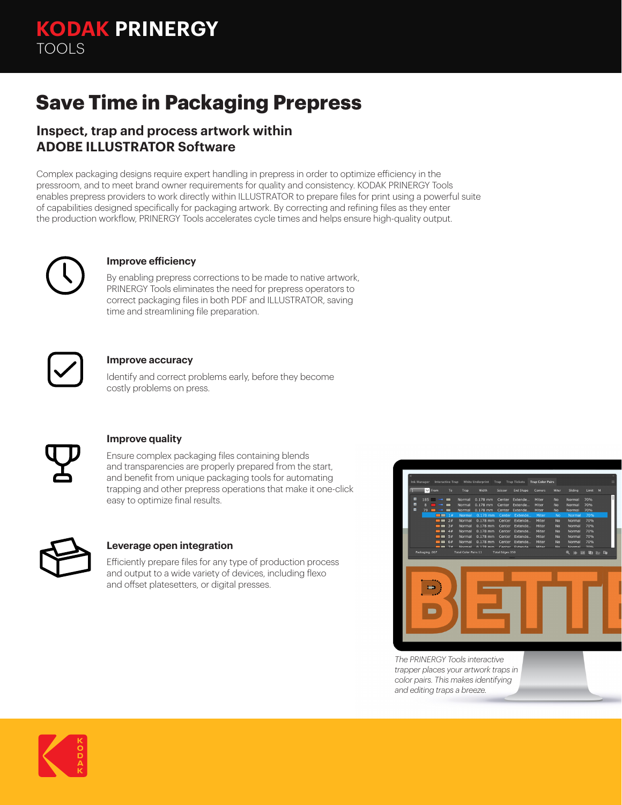# **Save Time in Packaging Prepress**

### **Inspect, trap and process artwork within ADOBE ILLUSTRATOR Software**

Complex packaging designs require expert handling in prepress in order to optimize efficiency in the pressroom, and to meet brand owner requirements for quality and consistency. KODAK PRINERGY Tools enables prepress providers to work directly within ILLUSTRATOR to prepare files for print using a powerful suite of capabilities designed specifically for packaging artwork. By correcting and refining files as they enter the production workflow, PRINERGY Tools accelerates cycle times and helps ensure high-quality output.



#### **Improve efficiency**

By enabling prepress corrections to be made to native artwork, PRINERGY Tools eliminates the need for prepress operators to correct packaging files in both PDF and ILLUSTRATOR, saving time and streamlining file preparation.



#### **Improve accuracy**

Identify and correct problems early, before they become costly problems on press.



#### **Improve quality**

Ensure complex packaging files containing blends and transparencies are properly prepared from the start, and benefit from unique packaging tools for automating trapping and other prepress operations that make it one-click easy to optimize final results.



#### **Leverage open integration**

Efficiently prepare files for any type of production process and output to a wide variety of devices, including flexo and offset platesetters, or digital presses.



*The PRINERGY Tools interactive trapper places your artwork traps in color pairs. This makes identifying and editing traps a breeze.*